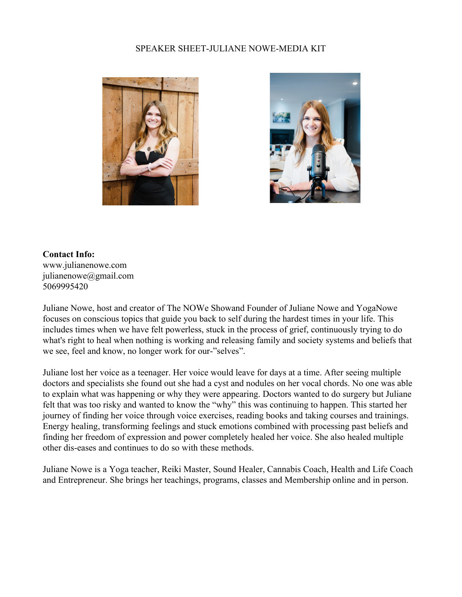## SPEAKER SHEET-JULIANE NOWE-MEDIA KIT





## **Contact Info:**

www.julianenowe.com julianenowe@gmail.com 5069995420

Juliane Nowe, host and creator of The NOWe Showand Founder of Juliane Nowe and YogaNowe focuses on conscious topics that guide you back to self during the hardest times in your life. This includes times when we have felt powerless, stuck in the process of grief, continuously trying to do what's right to heal when nothing is working and releasing family and society systems and beliefs that we see, feel and know, no longer work for our-"selves".

Juliane lost her voice as a teenager. Her voice would leave for days at a time. After seeing multiple doctors and specialists she found out she had a cyst and nodules on her vocal chords. No one was able to explain what was happening or why they were appearing. Doctors wanted to do surgery but Juliane felt that was too risky and wanted to know the "why" this was continuing to happen. This started her journey of finding her voice through voice exercises, reading books and taking courses and trainings. Energy healing, transforming feelings and stuck emotions combined with processing past beliefs and finding her freedom of expression and power completely healed her voice. She also healed multiple other dis-eases and continues to do so with these methods.

Juliane Nowe is a Yoga teacher, Reiki Master, Sound Healer, Cannabis Coach, Health and Life Coach and Entrepreneur. She brings her teachings, programs, classes and Membership online and in person.